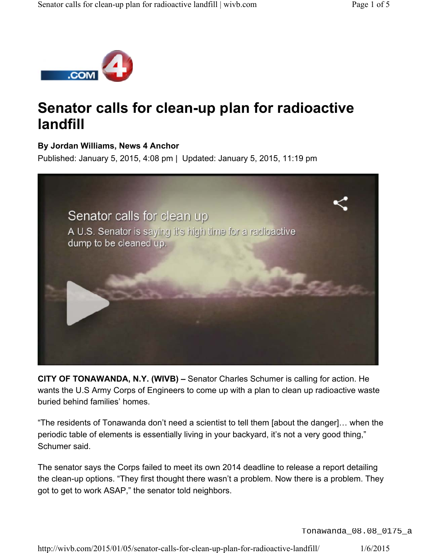

# **Senator calls for clean-up plan for radioactive landfill**

#### **By Jordan Williams, News 4 Anchor**

Published: January 5, 2015, 4:08 pm | Updated: January 5, 2015, 11:19 pm



**CITY OF TONAWANDA, N.Y. (WIVB) –** Senator Charles Schumer is calling for action. He wants the U.S Army Corps of Engineers to come up with a plan to clean up radioactive waste buried behind families' homes.

"The residents of Tonawanda don't need a scientist to tell them [about the danger]… when the periodic table of elements is essentially living in your backyard, it's not a very good thing," Schumer said.

The senator says the Corps failed to meet its own 2014 deadline to release a report detailing the clean-up options. "They first thought there wasn't a problem. Now there is a problem. They got to get to work ASAP," the senator told neighbors.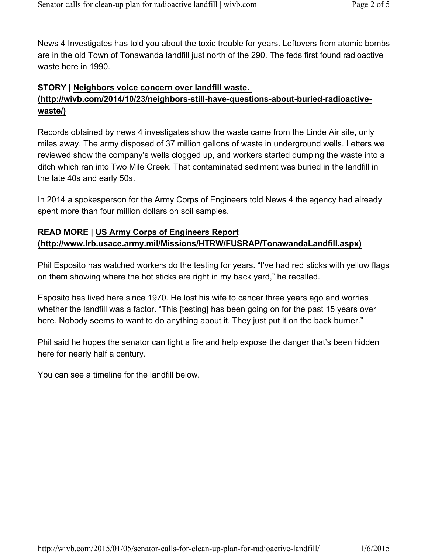News 4 Investigates has told you about the toxic trouble for years. Leftovers from atomic bombs are in the old Town of Tonawanda landfill just north of the 290. The feds first found radioactive waste here in 1990.

## **STORY | Neighbors voice concern over landfill waste. (http://wivb.com/2014/10/23/neighbors-still-have-questions-about-buried-radioactivewaste/)**

Records obtained by news 4 investigates show the waste came from the Linde Air site, only miles away. The army disposed of 37 million gallons of waste in underground wells. Letters we reviewed show the company's wells clogged up, and workers started dumping the waste into a ditch which ran into Two Mile Creek. That contaminated sediment was buried in the landfill in the late 40s and early 50s.

In 2014 a spokesperson for the Army Corps of Engineers told News 4 the agency had already spent more than four million dollars on soil samples.

## **READ MORE | US Army Corps of Engineers Report (http://www.lrb.usace.army.mil/Missions/HTRW/FUSRAP/TonawandaLandfill.aspx)**

Phil Esposito has watched workers do the testing for years. "I've had red sticks with yellow flags on them showing where the hot sticks are right in my back yard," he recalled.

Esposito has lived here since 1970. He lost his wife to cancer three years ago and worries whether the landfill was a factor. "This [testing] has been going on for the past 15 years over here. Nobody seems to want to do anything about it. They just put it on the back burner."

Phil said he hopes the senator can light a fire and help expose the danger that's been hidden here for nearly half a century.

You can see a timeline for the landfill below.